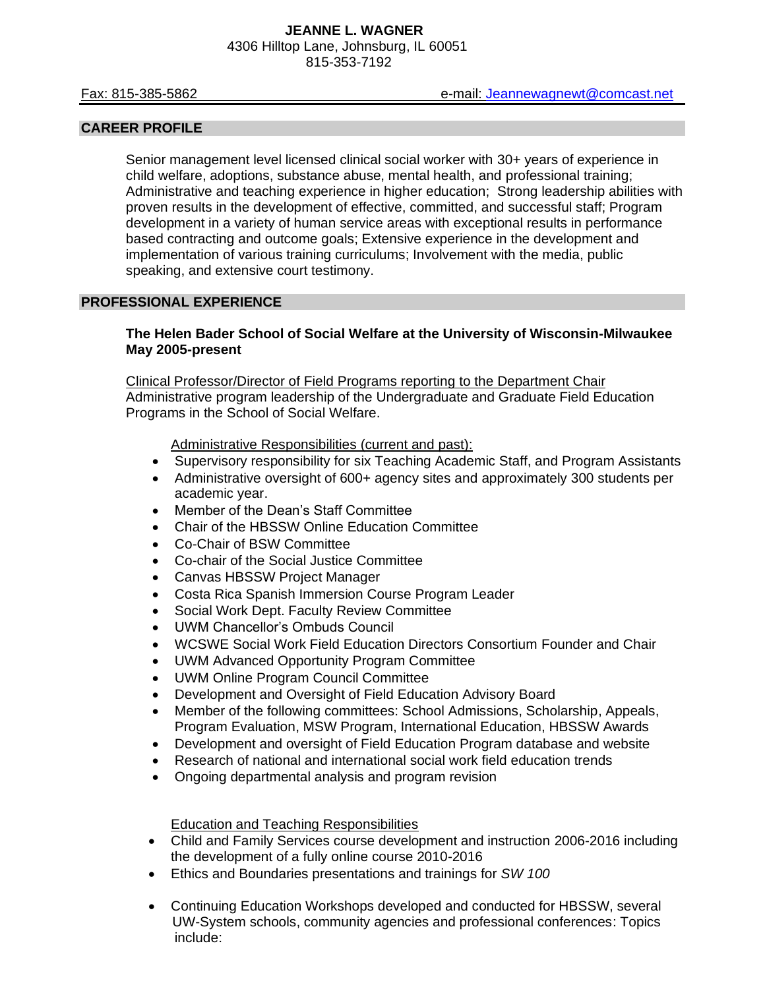#### **CAREER PROFILE**

Senior management level licensed clinical social worker with 30+ years of experience in child welfare, adoptions, substance abuse, mental health, and professional training; Administrative and teaching experience in higher education; Strong leadership abilities with proven results in the development of effective, committed, and successful staff; Program development in a variety of human service areas with exceptional results in performance based contracting and outcome goals; Extensive experience in the development and implementation of various training curriculums; Involvement with the media, public speaking, and extensive court testimony.

#### **PROFESSIONAL EXPERIENCE**

#### **The Helen Bader School of Social Welfare at the University of Wisconsin-Milwaukee May 2005-present**

Clinical Professor/Director of Field Programs reporting to the Department Chair Administrative program leadership of the Undergraduate and Graduate Field Education Programs in the School of Social Welfare.

Administrative Responsibilities (current and past):

- Supervisory responsibility for six Teaching Academic Staff, and Program Assistants
- Administrative oversight of 600+ agency sites and approximately 300 students per academic year.
- Member of the Dean's Staff Committee
- Chair of the HBSSW Online Education Committee
- Co-Chair of BSW Committee
- Co-chair of the Social Justice Committee
- Canvas HBSSW Project Manager
- Costa Rica Spanish Immersion Course Program Leader
- Social Work Dept. Faculty Review Committee
- UWM Chancellor's Ombuds Council
- WCSWE Social Work Field Education Directors Consortium Founder and Chair
- UWM Advanced Opportunity Program Committee
- UWM Online Program Council Committee
- Development and Oversight of Field Education Advisory Board
- Member of the following committees: School Admissions, Scholarship, Appeals, Program Evaluation, MSW Program, International Education, HBSSW Awards
- Development and oversight of Field Education Program database and website
- Research of national and international social work field education trends
- Ongoing departmental analysis and program revision

#### Education and Teaching Responsibilities

- Child and Family Services course development and instruction 2006-2016 including the development of a fully online course 2010-2016
- Ethics and Boundaries presentations and trainings for *SW 100*
- Continuing Education Workshops developed and conducted for HBSSW, several UW-System schools, community agencies and professional conferences: Topics include: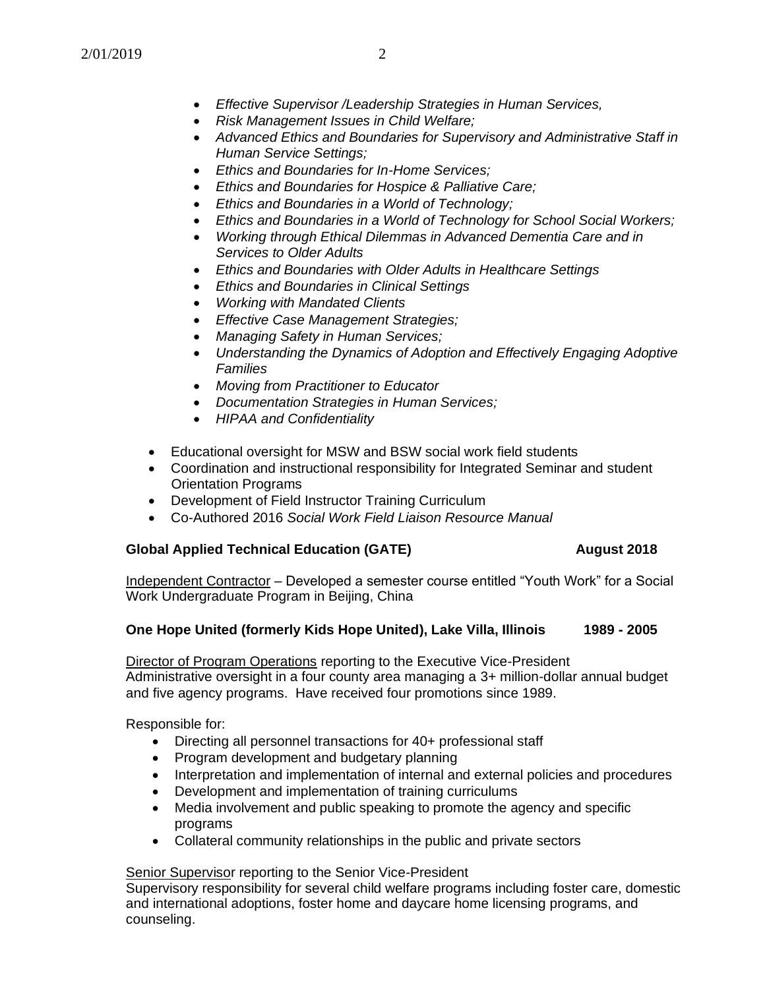- *Effective Supervisor /Leadership Strategies in Human Services,*
- *Risk Management Issues in Child Welfare;*
- *Advanced Ethics and Boundaries for Supervisory and Administrative Staff in Human Service Settings;*
- *Ethics and Boundaries for In-Home Services;*
- *Ethics and Boundaries for Hospice & Palliative Care;*
- *Ethics and Boundaries in a World of Technology;*
- *Ethics and Boundaries in a World of Technology for School Social Workers;*
- *Working through Ethical Dilemmas in Advanced Dementia Care and in Services to Older Adults*
- *Ethics and Boundaries with Older Adults in Healthcare Settings*
- *Ethics and Boundaries in Clinical Settings*
- *Working with Mandated Clients*
- *Effective Case Management Strategies;*
- *Managing Safety in Human Services;*
- *Understanding the Dynamics of Adoption and Effectively Engaging Adoptive Families*
- *Moving from Practitioner to Educator*
- *Documentation Strategies in Human Services;*
- *HIPAA and Confidentiality*
- Educational oversight for MSW and BSW social work field students
- Coordination and instructional responsibility for Integrated Seminar and student Orientation Programs
- Development of Field Instructor Training Curriculum
- Co-Authored 2016 *Social Work Field Liaison Resource Manual*

# **Global Applied Technical Education (GATE) August 2018**

Independent Contractor – Developed a semester course entitled "Youth Work" for a Social Work Undergraduate Program in Beijing, China

## **One Hope United (formerly Kids Hope United), Lake Villa, Illinois 1989 - 2005**

Director of Program Operations reporting to the Executive Vice-President Administrative oversight in a four county area managing a 3+ million-dollar annual budget and five agency programs. Have received four promotions since 1989.

Responsible for:

- Directing all personnel transactions for 40+ professional staff
- Program development and budgetary planning
- Interpretation and implementation of internal and external policies and procedures
- Development and implementation of training curriculums
- Media involvement and public speaking to promote the agency and specific programs
- Collateral community relationships in the public and private sectors

## Senior Supervisor reporting to the Senior Vice-President

Supervisory responsibility for several child welfare programs including foster care, domestic and international adoptions, foster home and daycare home licensing programs, and counseling.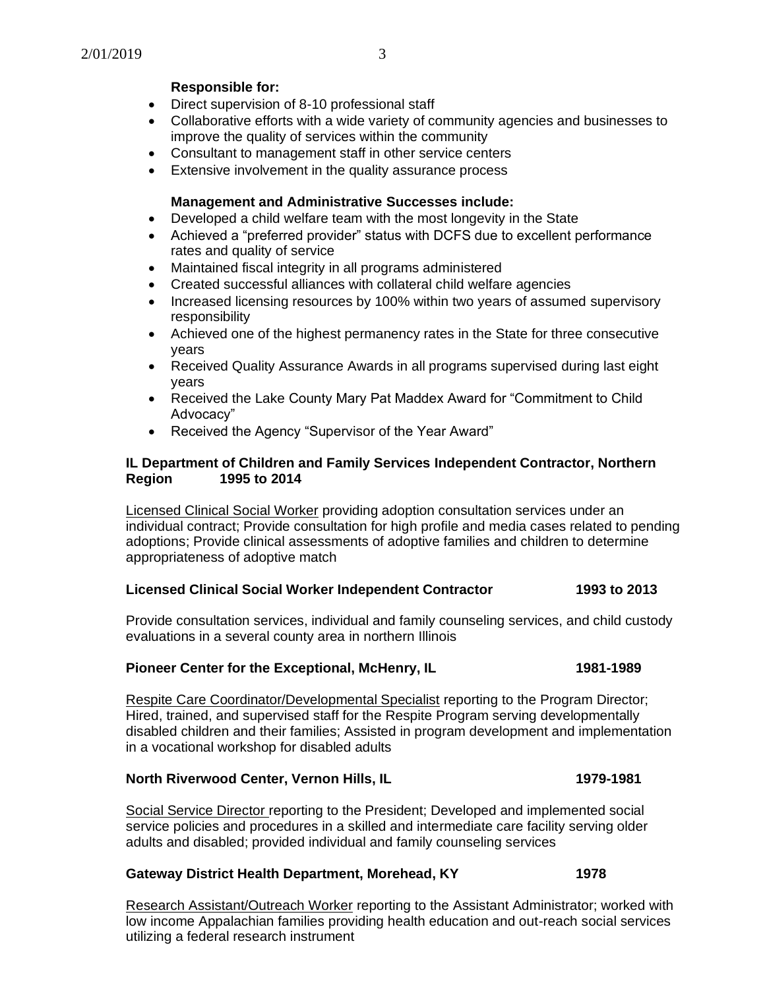## **Responsible for:**

- Direct supervision of 8-10 professional staff
- Collaborative efforts with a wide variety of community agencies and businesses to improve the quality of services within the community
- Consultant to management staff in other service centers
- Extensive involvement in the quality assurance process

## **Management and Administrative Successes include:**

- Developed a child welfare team with the most longevity in the State
- Achieved a "preferred provider" status with DCFS due to excellent performance rates and quality of service
- Maintained fiscal integrity in all programs administered
- Created successful alliances with collateral child welfare agencies
- Increased licensing resources by 100% within two years of assumed supervisory responsibility
- Achieved one of the highest permanency rates in the State for three consecutive years
- Received Quality Assurance Awards in all programs supervised during last eight years
- Received the Lake County Mary Pat Maddex Award for "Commitment to Child Advocacy"
- Received the Agency "Supervisor of the Year Award"

#### **IL Department of Children and Family Services Independent Contractor, Northern Region 1995 to 2014**

Licensed Clinical Social Worker providing adoption consultation services under an individual contract; Provide consultation for high profile and media cases related to pending adoptions; Provide clinical assessments of adoptive families and children to determine appropriateness of adoptive match

#### **Licensed Clinical Social Worker Independent Contractor 1993 to 2013**

Provide consultation services, individual and family counseling services, and child custody evaluations in a several county area in northern Illinois

## **Pioneer Center for the Exceptional, McHenry, IL 1981-1989**

Respite Care Coordinator/Developmental Specialist reporting to the Program Director; Hired, trained, and supervised staff for the Respite Program serving developmentally disabled children and their families; Assisted in program development and implementation in a vocational workshop for disabled adults

## **North Riverwood Center, Vernon Hills, IL 1979-1981**

Social Service Director reporting to the President; Developed and implemented social service policies and procedures in a skilled and intermediate care facility serving older adults and disabled; provided individual and family counseling services

#### **Gateway District Health Department, Morehead, KY 1978**

Research Assistant/Outreach Worker reporting to the Assistant Administrator; worked with low income Appalachian families providing health education and out-reach social services utilizing a federal research instrument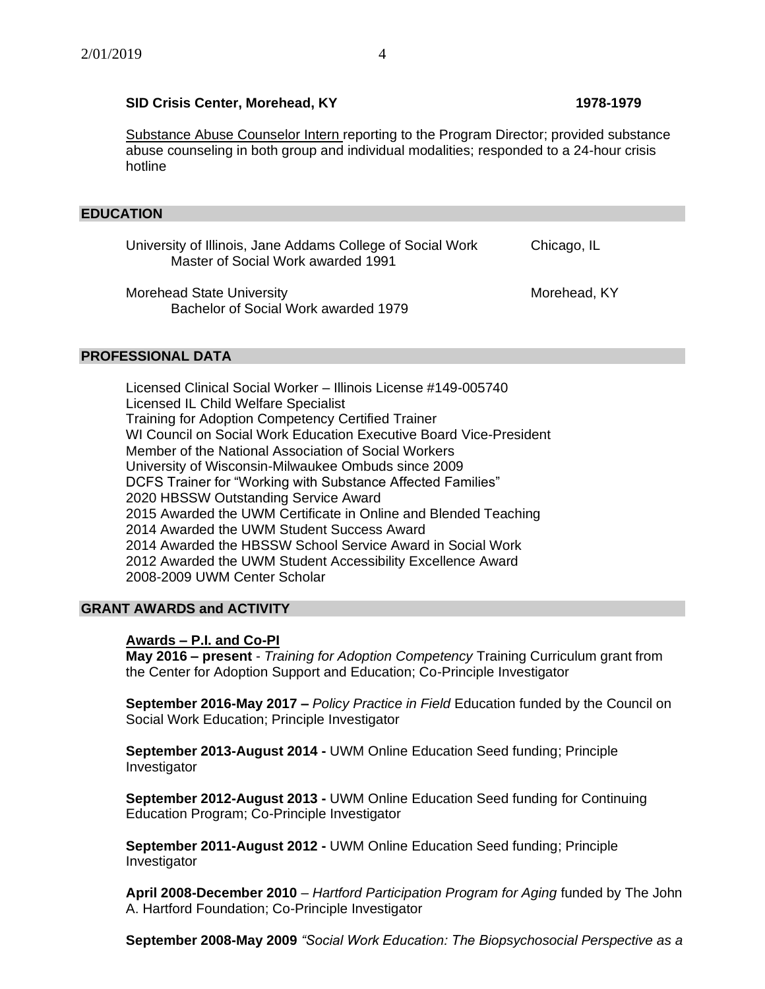## **SID Crisis Center, Morehead, KY 1978-1979**

Substance Abuse Counselor Intern reporting to the Program Director; provided substance abuse counseling in both group and individual modalities; responded to a 24-hour crisis hotline

#### **EDUCATION**

University of Illinois, Jane Addams College of Social Work Chicago, IL Master of Social Work awarded 1991

Morehead State University Morehead, KY Bachelor of Social Work awarded 1979

#### **PROFESSIONAL DATA**

Licensed Clinical Social Worker – Illinois License #149-005740 Licensed IL Child Welfare Specialist Training for Adoption Competency Certified Trainer WI Council on Social Work Education Executive Board Vice-President Member of the National Association of Social Workers University of Wisconsin-Milwaukee Ombuds since 2009 DCFS Trainer for "Working with Substance Affected Families" 2020 HBSSW Outstanding Service Award 2015 Awarded the UWM Certificate in Online and Blended Teaching 2014 Awarded the UWM Student Success Award 2014 Awarded the HBSSW School Service Award in Social Work 2012 Awarded the UWM Student Accessibility Excellence Award 2008-2009 UWM Center Scholar

## **GRANT AWARDS and ACTIVITY**

#### **Awards – P.I. and Co-PI**

**May 2016 – present** - *Training for Adoption Competency* Training Curriculum grant from the Center for Adoption Support and Education; Co-Principle Investigator

**September 2016-May 2017 –** *Policy Practice in Field* Education funded by the Council on Social Work Education; Principle Investigator

**September 2013-August 2014 -** UWM Online Education Seed funding; Principle Investigator

**September 2012-August 2013 -** UWM Online Education Seed funding for Continuing Education Program; Co-Principle Investigator

**September 2011-August 2012 -** UWM Online Education Seed funding; Principle Investigator

**April 2008-December 2010** – *Hartford Participation Program for Aging* funded by The John A. Hartford Foundation; Co-Principle Investigator

**September 2008-May 2009** *"Social Work Education: The Biopsychosocial Perspective as a*